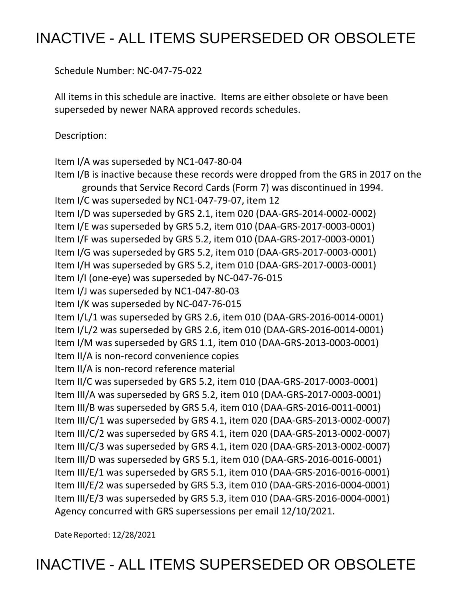# INACTIVE - ALL ITEMS SUPERSEDED OR OBSOLETE

Schedule Number: NC-047-75-022

 All items in this schedule are inactive. Items are either obsolete or have been superseded by newer NARA approved records schedules.

Description:

Item I/A was superseded by NC1-047-80-04

 Item I/B is inactive because these records were dropped from the GRS in 2017 on the grounds that Service Record Cards (Form 7) was discontinued in 1994. Item I/C was superseded by NC1-047-79-07, item 12 Item I/D was superseded by GRS 2.1, item 020 (DAA-GRS-2014-0002-0002) Item I/E was superseded by GRS 5.2, item 010 (DAA-GRS-2017-0003-0001) Item I/G was superseded by GRS 5.2, item 010 (DAA-GRS-2017-0003-0001) Item I/H was superseded by GRS 5.2, item 010 (DAA-GRS-2017-0003-0001) Item I/I (one-eye) was superseded by NC-047-76-015 Item I/J was superseded by NC1-047-80-03 Item I/L/1 was superseded by GRS 2.6, item 010 (DAA-GRS-2016-0014-0001) Item I/L/2 was superseded by GRS 2.6, item 010 (DAA-GRS-2016-0014-0001) Item I/M was superseded by GRS 1.1, item 010 (DAA-GRS-2013-0003-0001) Item II/C was superseded by GRS 5.2, item 010 (DAA-GRS-2017-0003-0001) Item III/A was superseded by GRS 5.2, item 010 (DAA-GRS-2017-0003-0001) Item III/B was superseded by GRS 5.4, item 010 (DAA-GRS-2016-0011-0001) Item III/C/1 was superseded by GRS 4.1, item 020 (DAA-GRS-2013-0002-0007) Item III/D was superseded by GRS 5.1, item 010 (DAA-GRS-2016-0016-0001) Item III/E/1 was superseded by GRS 5.1, item 010 (DAA-GRS-2016-0016-0001) Item III/E/2 was superseded by GRS 5.3, item 010 (DAA-GRS-2016-0004-0001) Agency concurred with GRS supersessions per email 12/10/2021. Item I/F was superseded by GRS 5.2, item 010 (DAA-GRS-2017-0003-0001) Item I/K was superseded by NC-047-76-015 Item II/A is non-record convenience copies Item II/A is non-record reference material Item III/C/2 was superseded by GRS 4.1, item 020 (DAA-GRS-2013-0002-0007) Item III/C/3 was superseded by GRS 4.1, item 020 (DAA-GRS-2013-0002-0007) Item III/E/3 was superseded by GRS 5.3, item 010 (DAA-GRS-2016-0004-0001)

Date Reported: 12/28/2021

INACTIVE - ALL ITEMS SUPERSEDED OR OBSOLETE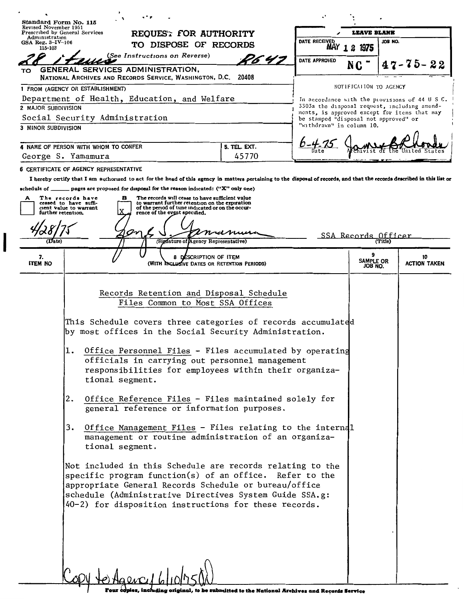| Standard Form No. 115<br>Revised November 1951 |                                                                                                                                                                                                                     |                       | <b>LEAVE BLANK</b>                                                                    |                          |  |                     |  |  |
|------------------------------------------------|---------------------------------------------------------------------------------------------------------------------------------------------------------------------------------------------------------------------|-----------------------|---------------------------------------------------------------------------------------|--------------------------|--|---------------------|--|--|
| Administration<br>GSA Reg. $3 - IV - 106$      | Prescribed by General Services<br>REQUES: FOR AUTHORITY                                                                                                                                                             |                       |                                                                                       | DATE RECEIVED<br>JOB NO. |  |                     |  |  |
| 115-103                                        | TO DISPOSE OF RECORDS                                                                                                                                                                                               |                       |                                                                                       | MAY 1 2 1975             |  |                     |  |  |
|                                                | (See Instructions on Reverse)                                                                                                                                                                                       | P6 4 T                | DATE APPROVED                                                                         |                          |  | -75-22              |  |  |
| TO                                             | GENERAL SERVICES ADMINISTRATION,<br>NATIONAL ARCHIVES AND RECORDS SERVICE, WASHINGTON, D.C. 20408                                                                                                                   |                       |                                                                                       |                          |  |                     |  |  |
|                                                | 1 FROM (AGENCY OR ESTABLISHMENT)                                                                                                                                                                                    |                       |                                                                                       | NOTIFICAIION TO AGENCY   |  |                     |  |  |
|                                                | Department of Health, Education, and Welfare                                                                                                                                                                        |                       | In accordance with the provisions of 44 U S C.                                        |                          |  |                     |  |  |
| 2 MAJOR SUBDIVISION                            |                                                                                                                                                                                                                     |                       | 3303a the disposal request, including amend-                                          |                          |  |                     |  |  |
|                                                | Social Security Administration                                                                                                                                                                                      |                       | ments, is approved except for items that may<br>be stamped "disposal not approved" or |                          |  |                     |  |  |
| <b>3 MINOR SUBDIVISION</b>                     |                                                                                                                                                                                                                     |                       | "withdrawn" in column 10.                                                             |                          |  |                     |  |  |
|                                                |                                                                                                                                                                                                                     |                       |                                                                                       |                          |  |                     |  |  |
|                                                | 4 NAME OF PERSON WITH WHOM TO CONFER<br>George S. Yamamura                                                                                                                                                          | 5. TEL. EXT.<br>45770 |                                                                                       |                          |  |                     |  |  |
|                                                |                                                                                                                                                                                                                     |                       |                                                                                       |                          |  |                     |  |  |
|                                                | 6 CERTIFICATE OF AGENCY REPRESENTATIVE<br>I hereby certify that I am authorized to act for the head of this agency in matters pertaining to the disposal of records, and that the records described in this list or |                       |                                                                                       |                          |  |                     |  |  |
| schedule of ___                                | pages are proposed for disposal for the reason indicated: ("X" only one)                                                                                                                                            |                       |                                                                                       |                          |  |                     |  |  |
| A                                              | The records will cease to have sufficient value<br>The records have<br>в                                                                                                                                            |                       |                                                                                       |                          |  |                     |  |  |
| further retention.                             | to warrant further retention on the expiration<br>ceased to have suffi-<br>of the period of time indicated or on the occur-<br>cient value to warrant<br>rence of the event specified.                              |                       |                                                                                       |                          |  |                     |  |  |
|                                                |                                                                                                                                                                                                                     |                       |                                                                                       |                          |  |                     |  |  |
|                                                |                                                                                                                                                                                                                     |                       |                                                                                       |                          |  |                     |  |  |
| (Date)                                         | (Signature of Agency Representative)                                                                                                                                                                                |                       |                                                                                       | SSA Records Officer      |  |                     |  |  |
| 7.                                             | 8 DESCRIPTION OF ITEM                                                                                                                                                                                               |                       |                                                                                       | <b>SAMPLE OR</b>         |  | 10                  |  |  |
| <b>ITEM NO</b>                                 | (WITH INCLUSIVE DATES OR RETENTION PERIODS)                                                                                                                                                                         |                       |                                                                                       | JOB NO.                  |  | <b>ACTION TAKEN</b> |  |  |
|                                                |                                                                                                                                                                                                                     |                       |                                                                                       |                          |  |                     |  |  |
|                                                | Records Retention and Disposal Schedule                                                                                                                                                                             |                       |                                                                                       |                          |  |                     |  |  |
|                                                | Files Common to Most SSA Offices                                                                                                                                                                                    |                       |                                                                                       |                          |  |                     |  |  |
|                                                |                                                                                                                                                                                                                     |                       |                                                                                       |                          |  |                     |  |  |
|                                                | This Schedule covers three categories of records accumulated                                                                                                                                                        |                       |                                                                                       |                          |  |                     |  |  |
|                                                | by most offices in the Social Security Administration.                                                                                                                                                              |                       |                                                                                       |                          |  |                     |  |  |
|                                                | Office Personnel Files - Files accumulated by operating<br>ı.                                                                                                                                                       |                       |                                                                                       |                          |  |                     |  |  |
|                                                | officials in carrying out personnel management                                                                                                                                                                      |                       |                                                                                       |                          |  |                     |  |  |
|                                                | responsibilities for employees within their organiza-                                                                                                                                                               |                       |                                                                                       |                          |  |                     |  |  |
|                                                | tional segment.                                                                                                                                                                                                     |                       |                                                                                       |                          |  |                     |  |  |
|                                                |                                                                                                                                                                                                                     |                       |                                                                                       |                          |  |                     |  |  |
|                                                | Office Reference Files - Files maintained solely for<br>2.<br>general reference or information purposes.                                                                                                            |                       |                                                                                       |                          |  |                     |  |  |
|                                                |                                                                                                                                                                                                                     |                       |                                                                                       |                          |  |                     |  |  |
|                                                | Office Management Files - Files relating to the internal<br>3.                                                                                                                                                      |                       |                                                                                       |                          |  |                     |  |  |
|                                                | management or routine administration of an organiza-                                                                                                                                                                |                       |                                                                                       |                          |  |                     |  |  |
|                                                | tional segment.                                                                                                                                                                                                     |                       |                                                                                       |                          |  |                     |  |  |
|                                                | Not included in this Schedule are records relating to the                                                                                                                                                           |                       |                                                                                       |                          |  |                     |  |  |
|                                                | specific program function(s) of an office. Refer to the                                                                                                                                                             |                       |                                                                                       |                          |  |                     |  |  |
|                                                | appropriate General Records Schedule or bureau/office                                                                                                                                                               |                       |                                                                                       |                          |  |                     |  |  |
|                                                | schedule (Administrative Directives System Guide SSA.g:                                                                                                                                                             |                       |                                                                                       |                          |  |                     |  |  |
|                                                | 40-2) for disposition instructions for these records.                                                                                                                                                               |                       |                                                                                       |                          |  |                     |  |  |
|                                                |                                                                                                                                                                                                                     |                       |                                                                                       |                          |  |                     |  |  |
|                                                |                                                                                                                                                                                                                     |                       |                                                                                       |                          |  |                     |  |  |
|                                                |                                                                                                                                                                                                                     |                       |                                                                                       |                          |  |                     |  |  |
|                                                |                                                                                                                                                                                                                     |                       |                                                                                       |                          |  |                     |  |  |
|                                                |                                                                                                                                                                                                                     |                       |                                                                                       |                          |  |                     |  |  |
|                                                |                                                                                                                                                                                                                     |                       |                                                                                       |                          |  |                     |  |  |
|                                                | Copy to Agency Widolost                                                                                                                                                                                             |                       |                                                                                       |                          |  |                     |  |  |

T

**c**<br>**c** index that *ling***</del>**  $\frac{1}{2}$  **<b>c**  $\frac{1}{2}$  **c**  $\frac{1}{2}$  **c**  $\frac{1}{2}$  **c**  $\frac{1}{2}$  **c**  $\frac{1}{2}$  **c**  $\frac{1}{2}$  **c**  $\frac{1}{2}$  **c**  $\frac{1}{2}$  **c**  $\frac{1}{2}$  **c**  $\frac{1}{2}$  **c**  $\frac{1}{2}$  **c**  $\frac{1}{2}$  **c**  $\frac{1}{2}$  **c**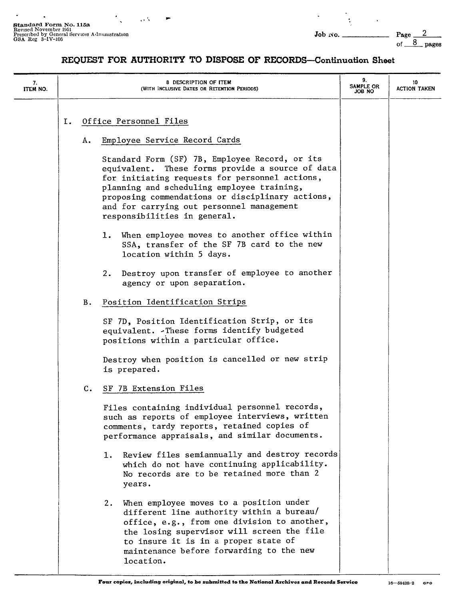| 7.<br>ITEM NO. |                              |                | 8 DESCRIPTION OF ITEM<br>(WITH INCLUSIVE DATES OR RETENTION PERIODS)                                                                                                                                                                                                                                                                | 9.<br>SAMPLE OR<br><b>JOB NO</b> | 10<br><b>ACTION TAKEN</b> |
|----------------|------------------------------|----------------|-------------------------------------------------------------------------------------------------------------------------------------------------------------------------------------------------------------------------------------------------------------------------------------------------------------------------------------|----------------------------------|---------------------------|
|                | Office Personnel Files<br>Ι. |                |                                                                                                                                                                                                                                                                                                                                     |                                  |                           |
|                |                              | А.             | Employee Service Record Cards                                                                                                                                                                                                                                                                                                       |                                  |                           |
|                |                              |                | Standard Form (SF) 7B, Employee Record, or its<br>equivalent. These forms provide a source of data<br>for initiating requests for personnel actions,<br>planning and scheduling employee training,<br>proposing commendations or disciplinary actions,<br>and for carrying out personnel management<br>responsibilities in general. |                                  |                           |
|                |                              |                | 1. When employee moves to another office within<br>SSA, transfer of the SF 7B card to the new<br>location within 5 days.                                                                                                                                                                                                            |                                  |                           |
|                |                              |                | 2. Destroy upon transfer of employee to another<br>agency or upon separation.                                                                                                                                                                                                                                                       |                                  |                           |
|                |                              | в.             | Position Identification Strips                                                                                                                                                                                                                                                                                                      |                                  |                           |
|                |                              |                | SF 7D, Position Identification Strip, or its<br>equivalent. - These forms identify budgeted<br>positions within a particular office.                                                                                                                                                                                                |                                  |                           |
|                |                              |                | Destroy when position is cancelled or new strip<br>is prepared.                                                                                                                                                                                                                                                                     |                                  |                           |
|                |                              | $\mathbf{c}$ . | SF 7B Extension Files                                                                                                                                                                                                                                                                                                               |                                  |                           |
|                |                              |                | Files containing individual personnel records,<br>such as reports of employee interviews, written<br>comments, tardy reports, retained copies of<br>performance appraisals, and similar documents.                                                                                                                                  |                                  |                           |
|                |                              |                | Review files semiannually and destroy records<br>ı.<br>which do not have continuing applicability.<br>No records are to be retained more than 2<br>years.                                                                                                                                                                           |                                  |                           |
|                |                              |                | When employee moves to a position under<br>2.<br>different line authority within a bureau/<br>office, e.g., from one division to another,<br>the losing supervisor will screen the file<br>to insure it is in a proper state of<br>maintenance before forwarding to the new<br>location.                                            |                                  |                           |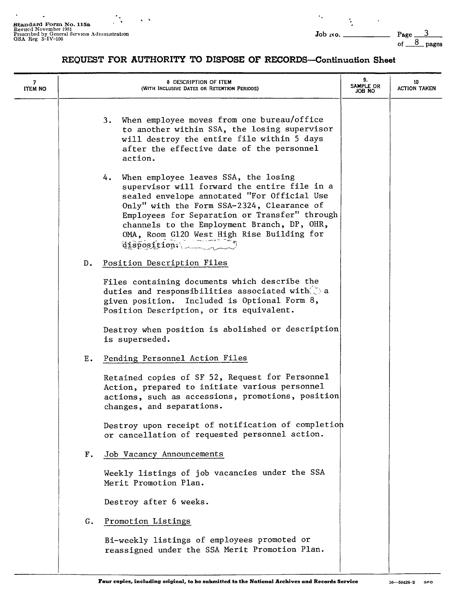$\ddot{\phantom{a}}$  ,

| 7<br><b>ITEM NO</b> |    | <b>8 DESCRIPTION OF ITEM</b><br>(WITH INCLUSIVE DATES OR RETENTION PERIODS)                                                                                                                                                                                                                                                                           | 9.<br>SAMPLE OR<br><b>JOB NO</b> | 10<br><b>ACTION TAKEN</b> |
|---------------------|----|-------------------------------------------------------------------------------------------------------------------------------------------------------------------------------------------------------------------------------------------------------------------------------------------------------------------------------------------------------|----------------------------------|---------------------------|
|                     |    | When employee moves from one bureau/office<br>3.<br>to another within SSA, the losing supervisor<br>will destroy the entire file within 5 days<br>after the effective date of the personnel<br>action.                                                                                                                                                |                                  |                           |
|                     |    | When employee leaves SSA, the losing<br>4.<br>supervisor will forward the entire file in a<br>sealed envelope annotated "For Official Use<br>Only" with the Form SSA-2324, Clearance of<br>Employees for Separation or Transfer" through<br>channels to the Employment Branch, DP, OHR,<br>OMA, Room G120 West High Rise Building for<br>disposition. |                                  |                           |
|                     | D. | Position Description Files                                                                                                                                                                                                                                                                                                                            |                                  |                           |
|                     |    | Files containing documents which describe the<br>duties and responsibilities associated with $\tilde{\gg}$ a<br>given position. Included is Optional Form 8,<br>Position Description, or its equivalent.                                                                                                                                              |                                  |                           |
|                     |    | Destroy when position is abolished or description<br>is superseded.                                                                                                                                                                                                                                                                                   |                                  |                           |
|                     | Ε. | Pending Personnel Action Files                                                                                                                                                                                                                                                                                                                        |                                  |                           |
|                     |    | Retained copies of SF 52, Request for Personnel<br>Action, prepared to initiate various personnel<br>actions, such as accessions, promotions, position<br>changes, and separations.                                                                                                                                                                   |                                  |                           |
|                     |    | Destroy upon receipt of notification of completion<br>or cancellation of requested personnel action.                                                                                                                                                                                                                                                  |                                  |                           |
|                     | Г. | Job Vacancy Announcements                                                                                                                                                                                                                                                                                                                             |                                  |                           |
|                     |    | Weekly listings of job vacancies under the SSA<br>Merit Promotion Plan.                                                                                                                                                                                                                                                                               |                                  |                           |
|                     |    | Destroy after 6 weeks.                                                                                                                                                                                                                                                                                                                                |                                  |                           |
|                     | G. | Promotion Listings                                                                                                                                                                                                                                                                                                                                    |                                  |                           |
|                     |    | Bi-weekly listings of employees promoted or<br>reassigned under the SSA Merit Promotion Plan.                                                                                                                                                                                                                                                         |                                  |                           |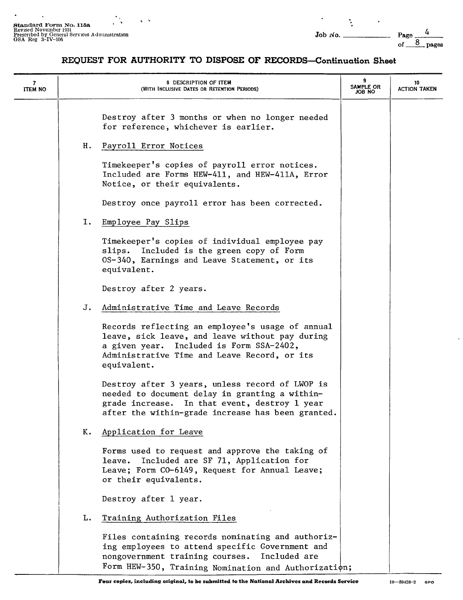$\sqrt{2}$ 

| 7<br>ITEM NO |    | 8 DESCRIPTION OF ITEM<br>(WITH INCLUSIVE DATES OR RETENTION PERIODS)                                                                                                                                           | 9<br>SAMPLE OR<br>JOB NO | 10<br><b>ACTION TAKEN</b> |
|--------------|----|----------------------------------------------------------------------------------------------------------------------------------------------------------------------------------------------------------------|--------------------------|---------------------------|
|              |    | Destroy after 3 months or when no longer needed<br>for reference, whichever is earlier.                                                                                                                        |                          |                           |
|              | н. | Payroll Error Notices                                                                                                                                                                                          |                          |                           |
|              |    | Timekeeper's copies of payroll error notices.<br>Included are Forms HEW-411, and HEW-411A, Error<br>Notice, or their equivalents.                                                                              |                          |                           |
|              |    | Destroy once payroll error has been corrected.                                                                                                                                                                 |                          |                           |
|              | Ι. | Employee Pay Slips                                                                                                                                                                                             |                          |                           |
|              |    | Timekeeper's copies of individual employee pay<br>slips. Included is the green copy of Form<br>OS-340, Earnings and Leave Statement, or its<br>equivalent.                                                     |                          |                           |
|              |    | Destroy after 2 years.                                                                                                                                                                                         |                          |                           |
|              | J. | Administrative Time and Leave Records                                                                                                                                                                          |                          |                           |
|              |    | Records reflecting an employee's usage of annual<br>leave, sick leave, and leave without pay during<br>a given year. Included is Form SSA-2402,<br>Administrative Time and Leave Record, or its<br>equivalent. |                          |                           |
|              |    | Destroy after 3 years, unless record of LWOP is<br>needed to document delay in granting a within-<br>grade increase. In that event, destroy 1 year<br>after the within-grade increase has been granted.        |                          |                           |
|              | к. | Application for Leave                                                                                                                                                                                          |                          |                           |
|              |    | Forms used to request and approve the taking of<br>leave. Included are SF 71, Application for<br>Leave; Form CO-6149, Request for Annual Leave;<br>or their equivalents.                                       |                          |                           |
|              |    | Destroy after 1 year.                                                                                                                                                                                          |                          |                           |
|              | L. | Training Authorization Files                                                                                                                                                                                   |                          |                           |
|              |    | Files containing records nominating and authoriz-<br>ing employees to attend specific Government and<br>nongovernment training courses. Included are<br>Form HEW-350, Training Nomination and Authorization;   |                          |                           |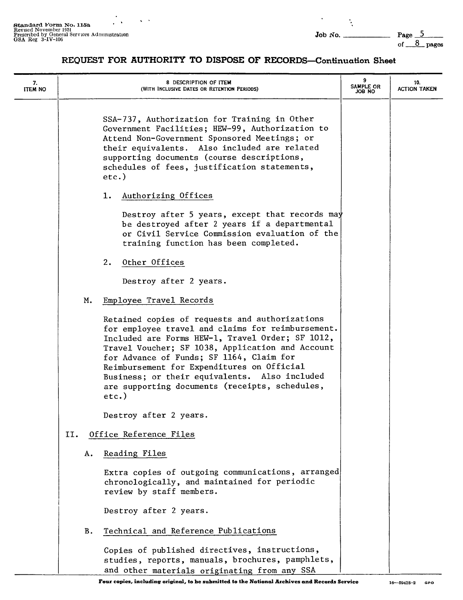Page  $\frac{5}{6}$  pages

| 7.<br><b>ITEM NO</b> |     | 8 DESCRIPTION OF ITEM<br>(WITH INCLUSIVE DATES OR RETENTION PERIODS)                                                                                                                                                                                                                                                                                                                                              | 9<br>SAMPLE OR<br>ON 8OL | 10.<br><b>ACTION TAKEN</b> |
|----------------------|-----|-------------------------------------------------------------------------------------------------------------------------------------------------------------------------------------------------------------------------------------------------------------------------------------------------------------------------------------------------------------------------------------------------------------------|--------------------------|----------------------------|
|                      |     | SSA-737, Authorization for Training in Other<br>Government Facilities; HEW-99, Authorization to<br>Attend Non-Government Sponsored Meetings; or<br>their equivalents. Also included are related<br>supporting documents (course descriptions,<br>schedules of fees, justification statements,<br>$etc.$ )                                                                                                         |                          |                            |
|                      |     | Authorizing Offices<br>1.                                                                                                                                                                                                                                                                                                                                                                                         |                          |                            |
|                      |     | Destroy after 5 years, except that records may<br>be destroyed after 2 years if a departmental<br>or Civil Service Commission evaluation of the<br>training function has been completed.                                                                                                                                                                                                                          |                          |                            |
|                      |     | 2.<br>Other Offices                                                                                                                                                                                                                                                                                                                                                                                               |                          |                            |
|                      |     | Destroy after 2 years.                                                                                                                                                                                                                                                                                                                                                                                            |                          |                            |
|                      |     | Employee Travel Records<br>м.                                                                                                                                                                                                                                                                                                                                                                                     |                          |                            |
|                      |     | Retained copies of requests and authorizations<br>for employee travel and claims for reimbursement.<br>Included are Forms HEW-1, Travel Order; SF 1012,<br>Travel Voucher; SF 1038, Application and Account<br>for Advance of Funds; SF 1164, Claim for<br>Reimbursement for Expenditures on Official<br>Business; or their equivalents. Also included<br>are supporting documents (receipts, schedules,<br>etc.) |                          |                            |
|                      |     | Destroy after 2 years.                                                                                                                                                                                                                                                                                                                                                                                            |                          |                            |
|                      | II. | Office Reference Files                                                                                                                                                                                                                                                                                                                                                                                            |                          |                            |
|                      |     | Reading Files<br>А.                                                                                                                                                                                                                                                                                                                                                                                               |                          |                            |
|                      |     | Extra copies of outgoing communications, arranged<br>chronologically, and maintained for periodic<br>review by staff members.                                                                                                                                                                                                                                                                                     |                          |                            |
|                      |     | Destroy after 2 years.                                                                                                                                                                                                                                                                                                                                                                                            |                          |                            |
|                      |     | Technical and Reference Publications<br>В.                                                                                                                                                                                                                                                                                                                                                                        |                          |                            |
|                      |     | Copies of published directives, instructions,<br>studies, reports, manuals, brochures, pamphlets,<br>and other materials originating from any SSA                                                                                                                                                                                                                                                                 |                          |                            |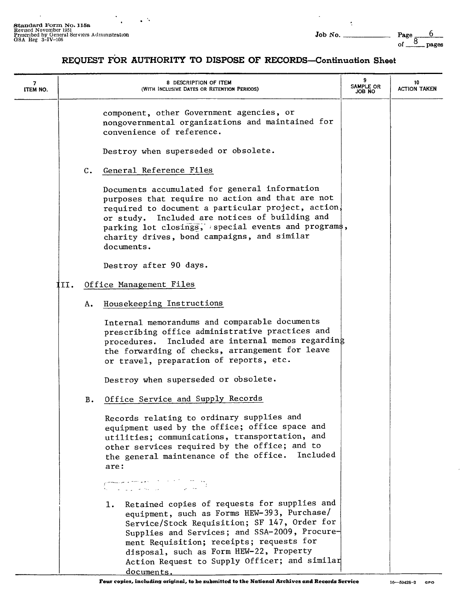Page  $\frac{6}{8}$  pages

| 7<br>ITEM NO. |      |               | 8 DESCRIPTION OF ITEM<br>(WITH INCLUSIVE DATES OR RETENTION PERIODS)                                                                                                                                                                                                                                                                                     | 9<br>SAMPLE OR<br>OM 8OL | 10<br><b>ACTION TAKEN</b> |
|---------------|------|---------------|----------------------------------------------------------------------------------------------------------------------------------------------------------------------------------------------------------------------------------------------------------------------------------------------------------------------------------------------------------|--------------------------|---------------------------|
|               |      |               | component, other Government agencies, or<br>nongovernmental organizations and maintained for<br>convenience of reference.<br>Destroy when superseded or obsolete.                                                                                                                                                                                        |                          |                           |
|               |      | $c_{\bullet}$ | General Reference Files                                                                                                                                                                                                                                                                                                                                  |                          |                           |
|               |      |               | Documents accumulated for general information<br>purposes that require no action and that are not<br>required to document a particular project, action,<br>or study. Included are notices of building and<br>parking lot closings, special events and programs,<br>charity drives, bond campaigns, and similar<br>documents.                             |                          |                           |
|               |      |               | Destroy after 90 days.                                                                                                                                                                                                                                                                                                                                   |                          |                           |
|               | III. |               | Office Management Files                                                                                                                                                                                                                                                                                                                                  |                          |                           |
|               |      | А.            | Housekeeping Instructions                                                                                                                                                                                                                                                                                                                                |                          |                           |
|               |      |               | Internal memorandums and comparable documents<br>prescribing office administrative practices and<br>procedures. Included are internal memos regarding<br>the forwarding of checks, arrangement for leave<br>or travel, preparation of reports, etc.                                                                                                      |                          |                           |
|               |      |               | Destroy when superseded or obsolete.                                                                                                                                                                                                                                                                                                                     |                          |                           |
|               |      | в.            | Office Service and Supply Records                                                                                                                                                                                                                                                                                                                        |                          |                           |
|               |      |               | Records relating to ordinary supplies and<br>equipment used by the office; office space and<br>utilities; communications, transportation, and<br>other services required by the office; and to<br>the general maintenance of the office. Included<br>are:                                                                                                |                          |                           |
|               |      |               | المواضح الكافرة الأقام والمواضح والمستعمر<br>في التحريم المراد المواضح والمواضح المراد اللا                                                                                                                                                                                                                                                              |                          |                           |
|               |      |               | Retained copies of requests for supplies and<br>1.<br>equipment, such as Forms HEW-393, Purchase/<br>Service/Stock Requisition; SF 147, Order for<br>Supplies and Services; and SSA-2009, Procure-<br>ment Requisition; receipts; requests for<br>disposal, such as Form HEW-22, Property<br>Action Request to Supply Officer; and similar<br>documents. |                          |                           |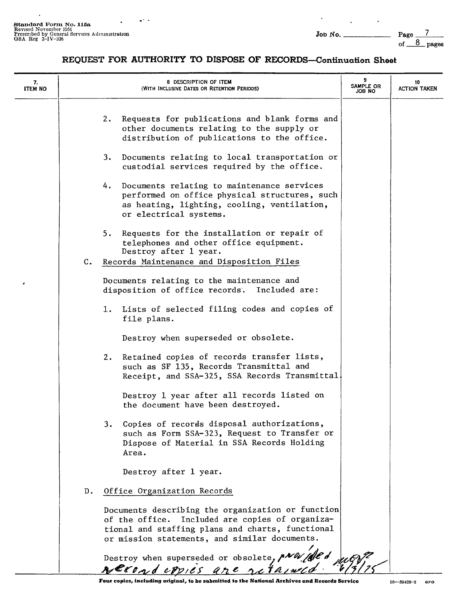$\sim$  10  $\pm$ 

 $\mathcal{L}^{\mathcal{L}}$ 

 $\hat{\phantom{a}}$ 

### **REQUEST FOR AUTHORITY TO DISPOSE OF RECORDS-Continuation Sheet**

| 7.<br>ITEM NO |    | 8 DESCRIPTION OF ITEM<br>(WITH INCLUSIVE DATES OR RETENTION PERIODS)                                                                                                                                      | 9<br>SAMPLE OR<br>JOB NO | 10<br><b>ACTION TAKEN</b> |
|---------------|----|-----------------------------------------------------------------------------------------------------------------------------------------------------------------------------------------------------------|--------------------------|---------------------------|
|               |    | Requests for publications and blank forms and<br>2.<br>other documents relating to the supply or<br>distribution of publications to the office.                                                           |                          |                           |
|               |    | Documents relating to local transportation or<br>3.<br>custodial services required by the office.                                                                                                         |                          |                           |
|               |    | 4. Documents relating to maintenance services<br>performed on office physical structures, such<br>as heating, lighting, cooling, ventilation,<br>or electrical systems.                                   |                          |                           |
|               |    | Requests for the installation or repair of<br>5.<br>telephones and other office equipment.<br>Destroy after 1 year.                                                                                       |                          |                           |
|               |    | C. Records Maintenance and Disposition Files                                                                                                                                                              |                          |                           |
|               |    | Documents relating to the maintenance and<br>disposition of office records. Included are:                                                                                                                 |                          |                           |
|               |    | 1. Lists of selected filing codes and copies of<br>file plans.                                                                                                                                            |                          |                           |
|               |    | Destroy when superseded or obsolete.                                                                                                                                                                      |                          |                           |
|               |    | Retained copies of records transfer lists,<br>2.<br>such as SF 135, Records Transmittal and<br>Receipt, and SSA-325, SSA Records Transmittal.                                                             |                          |                           |
|               |    | Destroy 1 year after all records listed on<br>the document have been destroyed.                                                                                                                           |                          |                           |
|               |    | Copies of records disposal authorizations,<br>3. .<br>such as Form SSA-323, Request to Transfer or<br>Dispose of Material in SSA Records Holding<br>Area.                                                 |                          |                           |
|               |    | Destroy after 1 year.                                                                                                                                                                                     |                          |                           |
|               | D. | Office Organization Records                                                                                                                                                                               |                          |                           |
|               |    | Documents describing the organization or function<br>of the office. Included are copies of organiza-<br>tional and staffing plans and charts, functional<br>or mission statements, and similar documents. |                          |                           |
|               |    | Destroy when superseded or obsolete, pNW/ (ded)                                                                                                                                                           |                          |                           |

**Four copies, including original, to be submitted to the National Archives and Records Service** 16-59428-2 GPO